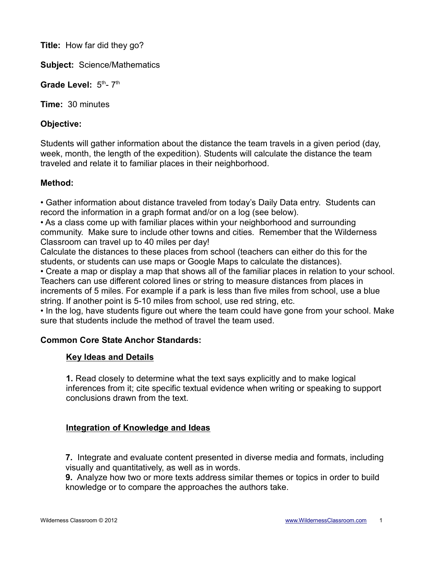**Title:** How far did they go?

**Subject:** Science/Mathematics

Grade Level:  $5<sup>th</sup> - 7<sup>th</sup>$ 

**Time:** 30 minutes

### **Objective:**

Students will gather information about the distance the team travels in a given period (day, week, month, the length of the expedition). Students will calculate the distance the team traveled and relate it to familiar places in their neighborhood.

### **Method:**

• Gather information about distance traveled from today's Daily Data entry. Students can record the information in a graph format and/or on a log (see below).

• As a class come up with familiar places within your neighborhood and surrounding community. Make sure to include other towns and cities. Remember that the Wilderness Classroom can travel up to 40 miles per day!

Calculate the distances to these places from school (teachers can either do this for the students, or students can use maps or Google Maps to calculate the distances).

• Create a map or display a map that shows all of the familiar places in relation to your school. Teachers can use different colored lines or string to measure distances from places in increments of 5 miles. For example if a park is less than five miles from school, use a blue string. If another point is 5-10 miles from school, use red string, etc.

• In the log, have students figure out where the team could have gone from your school. Make sure that students include the method of travel the team used.

# **Common Core State Anchor Standards:**

#### **Key Ideas and Details**

**1.** Read closely to determine what the text says explicitly and to make logical inferences from it; cite specific textual evidence when writing or speaking to support conclusions drawn from the text.

# **Integration of Knowledge and Ideas**

**7.** Integrate and evaluate content presented in diverse media and formats, including visually and quantitatively, as well as in words.

**9.** Analyze how two or more texts address similar themes or topics in order to build knowledge or to compare the approaches the authors take.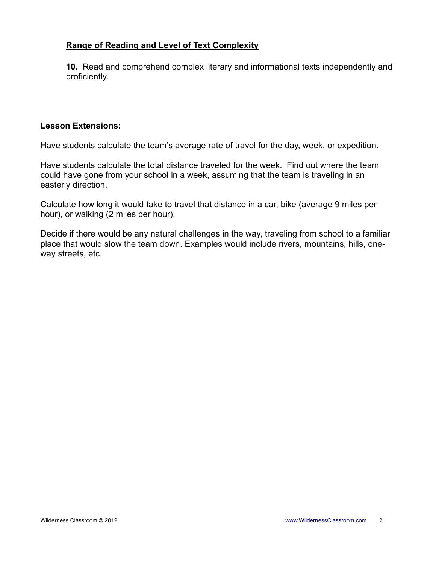# **Range of Reading and Level of Text Complexity**

**10.** Read and comprehend complex literary and informational texts independently and proficiently.

#### **Lesson Extensions:**

Have students calculate the team's average rate of travel for the day, week, or expedition.

Have students calculate the total distance traveled for the week. Find out where the team could have gone from your school in a week, assuming that the team is traveling in an easterly direction.

Calculate how long it would take to travel that distance in a car, bike (average 9 miles per hour), or walking (2 miles per hour).

Decide if there would be any natural challenges in the way, traveling from school to a familiar place that would slow the team down. Examples would include rivers, mountains, hills, oneway streets, etc.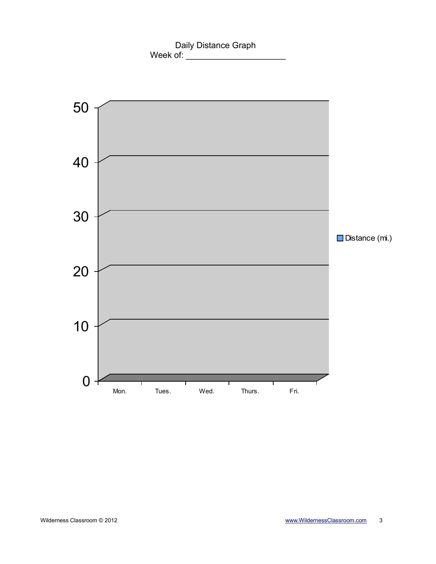Daily Distance Graph Week of: \_\_\_\_\_\_\_\_\_\_\_\_\_\_\_\_\_\_\_\_\_

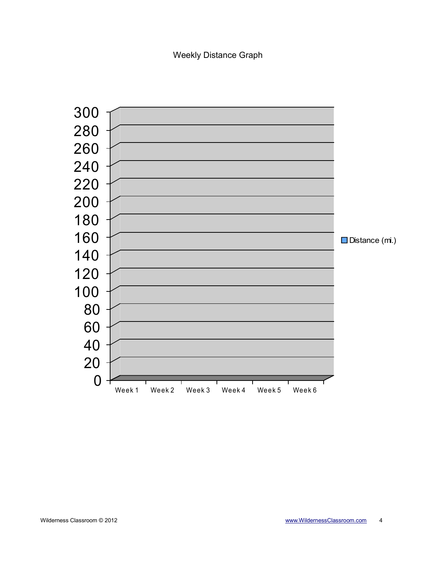